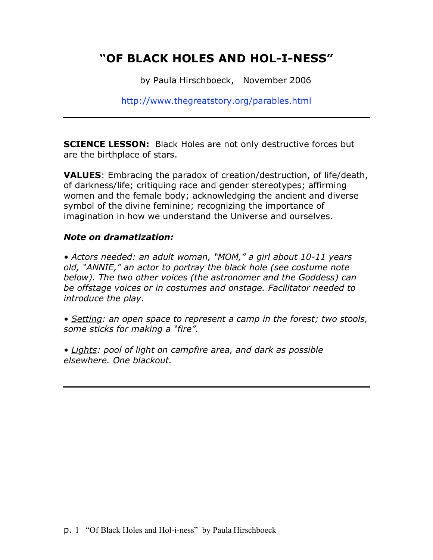# **"OF BLACK HOLES AND HOL-I-NESS"**

by Paula Hirschboeck, November 2006

http://www.thegreatstory.org/parables.html

**SCIENCE LESSON:** Black Holes are not only destructive forces but are the birthplace of stars.

**VALUES**: Embracing the paradox of creation/destruction, of life/death, of darkness/life; critiquing race and gender stereotypes; affirming women and the female body; acknowledging the ancient and diverse symbol of the divine feminine; recognizing the importance of imagination in how we understand the Universe and ourselves.

#### *Note on dramatization:*

*• Actors needed: an adult woman, "MOM," a girl about 10-11 years old, "ANNIE," an actor to portray the black hole (see costume note below). The two other voices (the astronomer and the Goddess) can be offstage voices or in costumes and onstage. Facilitator needed to introduce the play.*

*• Setting: an open space to represent a camp in the forest; two stools, some sticks for making a "fire".*

*• Lights: pool of light on campfire area, and dark as possible elsewhere. One blackout.*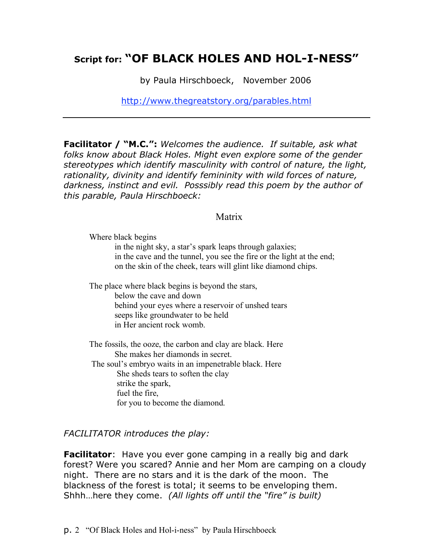## **Script for: "OF BLACK HOLES AND HOL-I-NESS"**

by Paula Hirschboeck, November 2006

http://www.thegreatstory.org/parables.html

**Facilitator / "M.C.":** *Welcomes the audience. If suitable, ask what folks know about Black Holes. Might even explore some of the gender stereotypes which identify masculinity with control of nature, the light, rationality, divinity and identify femininity with wild forces of nature, darkness, instinct and evil. Posssibly read this poem by the author of this parable, Paula Hirschboeck:*

#### Matrix

Where black begins

in the night sky, a star's spark leaps through galaxies; in the cave and the tunnel, you see the fire or the light at the end; on the skin of the cheek, tears will glint like diamond chips.

The place where black begins is beyond the stars, below the cave and down behind your eyes where a reservoir of unshed tears seeps like groundwater to be held in Her ancient rock womb.

The fossils, the ooze, the carbon and clay are black. Here She makes her diamonds in secret. The soul's embryo waits in an impenetrable black. Here She sheds tears to soften the clay strike the spark, fuel the fire, for you to become the diamond.

#### *FACILITATOR introduces the play:*

**Facilitator**: Have you ever gone camping in a really big and dark forest? Were you scared? Annie and her Mom are camping on a cloudy night. There are no stars and it is the dark of the moon. The blackness of the forest is total; it seems to be enveloping them. Shhh…here they come. *(All lights off until the "fire" is built)*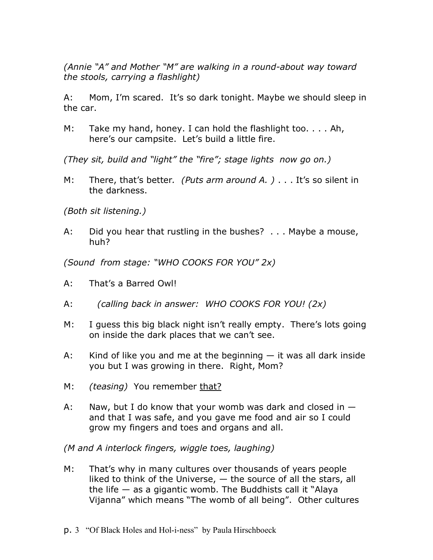*(Annie "A" and Mother "M" are walking in a round-about way toward the stools, carrying a flashlight)*

A: Mom, I'm scared. It's so dark tonight. Maybe we should sleep in the car.

M: Take my hand, honey. I can hold the flashlight too. . . . Ah, here's our campsite. Let's build a little fire.

*(They sit, build and "light" the "fire"; stage lights now go on.)*

M: There, that's better*. (Puts arm around A. )* . . . It's so silent in the darkness.

*(Both sit listening.)*

A: Did you hear that rustling in the bushes? . . . Maybe a mouse, huh?

*(Sound from stage: "WHO COOKS FOR YOU" 2x)*

- A: That's a Barred Owl!
- A: *(calling back in answer: WHO COOKS FOR YOU! (2x)*
- M: I guess this big black night isn't really empty. There's lots going on inside the dark places that we can't see.
- A: Kind of like you and me at the beginning  $-$  it was all dark inside you but I was growing in there. Right, Mom?
- M: *(teasing)* You remember that?
- A: Naw, but I do know that your womb was dark and closed in  $$ and that I was safe, and you gave me food and air so I could grow my fingers and toes and organs and all.

*(M and A interlock fingers, wiggle toes, laughing)*

- M: That's why in many cultures over thousands of years people liked to think of the Universe, — the source of all the stars, all the life  $-$  as a gigantic womb. The Buddhists call it "Alaya" Vijanna" which means "The womb of all being". Other cultures
- p. 3 "Of Black Holes and Hol-i-ness" by Paula Hirschboeck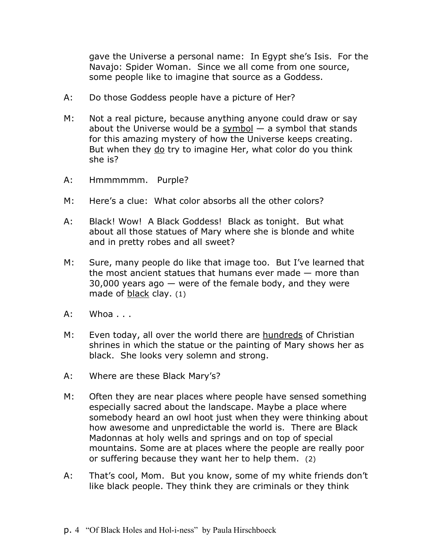gave the Universe a personal name: In Egypt she's Isis. For the Navajo: Spider Woman. Since we all come from one source, some people like to imagine that source as a Goddess.

- A: Do those Goddess people have a picture of Her?
- M: Not a real picture, because anything anyone could draw or say about the Universe would be a symbol  $-$  a symbol that stands for this amazing mystery of how the Universe keeps creating. But when they do try to imagine Her, what color do you think she is?
- A: Hmmmmmm. Purple?
- M: Here's a clue: What color absorbs all the other colors?
- A: Black! Wow! A Black Goddess! Black as tonight. But what about all those statues of Mary where she is blonde and white and in pretty robes and all sweet?
- M: Sure, many people do like that image too. But I've learned that the most ancient statues that humans ever made — more than 30,000 years ago — were of the female body, and they were made of black clay. (1)
- A: Whoa . . .
- M: Even today, all over the world there are hundreds of Christian shrines in which the statue or the painting of Mary shows her as black. She looks very solemn and strong.
- A: Where are these Black Mary's?
- M: Often they are near places where people have sensed something especially sacred about the landscape. Maybe a place where somebody heard an owl hoot just when they were thinking about how awesome and unpredictable the world is. There are Black Madonnas at holy wells and springs and on top of special mountains. Some are at places where the people are really poor or suffering because they want her to help them. (2)
- A: That's cool, Mom. But you know, some of my white friends don't like black people. They think they are criminals or they think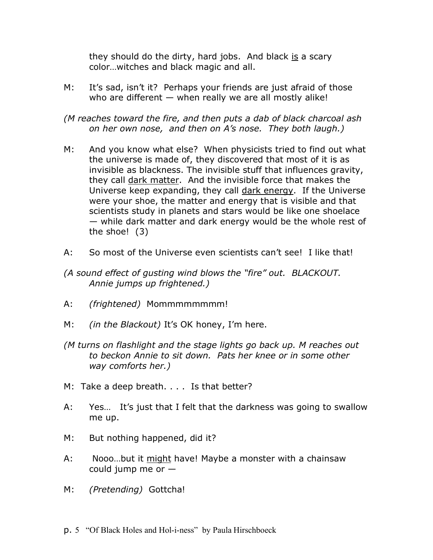they should do the dirty, hard jobs. And black is a scary color…witches and black magic and all.

- M: It's sad, isn't it? Perhaps your friends are just afraid of those who are different  $-$  when really we are all mostly alike!
- *(M reaches toward the fire, and then puts a dab of black charcoal ash on her own nose, and then on A's nose. They both laugh.)*
- M: And you know what else? When physicists tried to find out what the universe is made of, they discovered that most of it is as invisible as blackness. The invisible stuff that influences gravity, they call dark matter. And the invisible force that makes the Universe keep expanding, they call dark energy. If the Universe were your shoe, the matter and energy that is visible and that scientists study in planets and stars would be like one shoelace — while dark matter and dark energy would be the whole rest of the shoe! (3)
- A: So most of the Universe even scientists can't see! I like that!
- *(A sound effect of gusting wind blows the "fire" out. BLACKOUT. Annie jumps up frightened.)*
- A: *(frightened)* Mommmmmmmm!
- M: *(in the Blackout)* It's OK honey, I'm here.
- *(M turns on flashlight and the stage lights go back up. M reaches out to beckon Annie to sit down. Pats her knee or in some other way comforts her.)*
- M: Take a deep breath. . . . Is that better?
- A: Yes… It's just that I felt that the darkness was going to swallow me up.
- M: But nothing happened, did it?
- A: Nooo…but it might have! Maybe a monster with a chainsaw could jump me or  $-$
- M: *(Pretending)* Gottcha!
- p. 5 "Of Black Holes and Hol-i-ness" by Paula Hirschboeck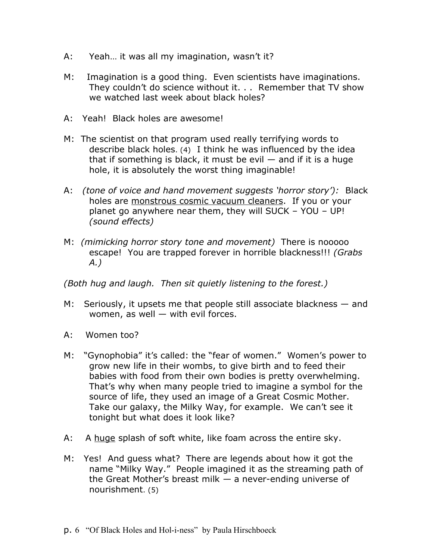- A: Yeah… it was all my imagination, wasn't it?
- M: Imagination is a good thing. Even scientists have imaginations. They couldn't do science without it. . . Remember that TV show we watched last week about black holes?
- A: Yeah! Black holes are awesome!
- M: The scientist on that program used really terrifying words to describe black holes. (4) I think he was influenced by the idea that if something is black, it must be evil  $-$  and if it is a huge hole, it is absolutely the worst thing imaginable!
- A: *(tone of voice and hand movement suggests 'horror story'):* Black holes are monstrous cosmic vacuum cleaners. If you or your planet go anywhere near them, they will SUCK – YOU – UP! *(sound effects)*
- M: *(mimicking horror story tone and movement)* There is nooooo escape! You are trapped forever in horrible blackness!!! *(Grabs A.)*

*(Both hug and laugh. Then sit quietly listening to the forest.)*

- M: Seriously, it upsets me that people still associate blackness and women, as well — with evil forces.
- A: Women too?
- M: "Gynophobia" it's called: the "fear of women." Women's power to grow new life in their wombs, to give birth and to feed their babies with food from their own bodies is pretty overwhelming. That's why when many people tried to imagine a symbol for the source of life, they used an image of a Great Cosmic Mother. Take our galaxy, the Milky Way, for example. We can't see it tonight but what does it look like?
- A: A huge splash of soft white, like foam across the entire sky.
- M: Yes! And guess what? There are legends about how it got the name "Milky Way." People imagined it as the streaming path of the Great Mother's breast milk  $-$  a never-ending universe of nourishment. (5)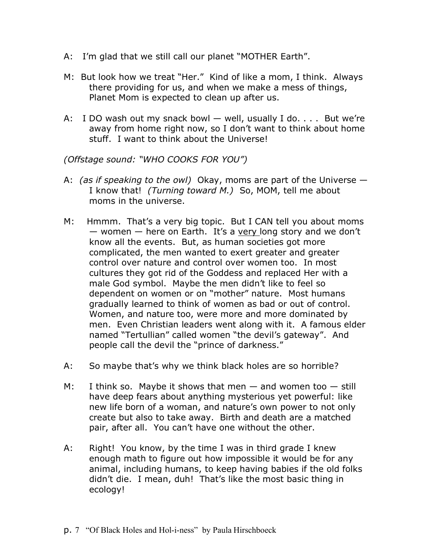- A: I'm glad that we still call our planet "MOTHER Earth".
- M: But look how we treat "Her." Kind of like a mom, I think. Always there providing for us, and when we make a mess of things, Planet Mom is expected to clean up after us.
- A: I DO wash out my snack bowl well, usually I do. . . . But we're away from home right now, so I don't want to think about home stuff. I want to think about the Universe!

*(Offstage sound: "WHO COOKS FOR YOU")*

- A: *(as if speaking to the owl)* Okay, moms are part of the Universe I know that! *(Turning toward M.)* So, MOM, tell me about moms in the universe.
- M: Hmmm. That's a very big topic. But I CAN tell you about moms — women — here on Earth. It's a very long story and we don't know all the events. But, as human societies got more complicated, the men wanted to exert greater and greater control over nature and control over women too. In most cultures they got rid of the Goddess and replaced Her with a male God symbol. Maybe the men didn't like to feel so dependent on women or on "mother" nature. Most humans gradually learned to think of women as bad or out of control. Women, and nature too, were more and more dominated by men. Even Christian leaders went along with it. A famous elder named "Tertullian" called women "the devil's gateway". And people call the devil the "prince of darkness."
- A: So maybe that's why we think black holes are so horrible?
- M: I think so. Maybe it shows that men  $-$  and women too  $-$  still have deep fears about anything mysterious yet powerful: like new life born of a woman, and nature's own power to not only create but also to take away. Birth and death are a matched pair, after all. You can't have one without the other.
- A: Right! You know, by the time I was in third grade I knew enough math to figure out how impossible it would be for any animal, including humans, to keep having babies if the old folks didn't die. I mean, duh! That's like the most basic thing in ecology!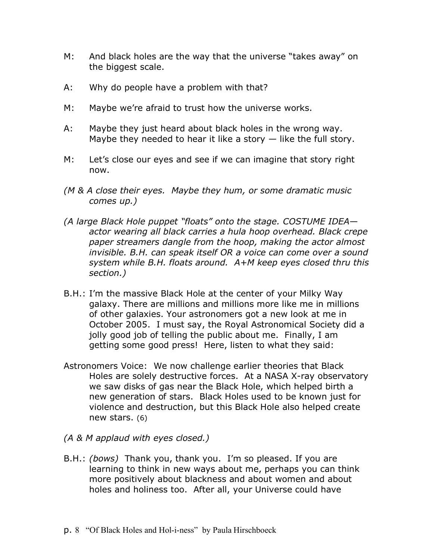- M: And black holes are the way that the universe "takes away" on the biggest scale.
- A: Why do people have a problem with that?
- M: Maybe we're afraid to trust how the universe works.
- A: Maybe they just heard about black holes in the wrong way. Maybe they needed to hear it like a story  $-$  like the full story.
- M: Let's close our eyes and see if we can imagine that story right now.
- *(M & A close their eyes. Maybe they hum, or some dramatic music comes up.)*
- *(A large Black Hole puppet "floats" onto the stage. COSTUME IDEA actor wearing all black carries a hula hoop overhead. Black crepe paper streamers dangle from the hoop, making the actor almost invisible. B.H. can speak itself OR a voice can come over a sound system while B.H. floats around. A+M keep eyes closed thru this section.)*
- B.H.: I'm the massive Black Hole at the center of your Milky Way galaxy. There are millions and millions more like me in millions of other galaxies. Your astronomers got a new look at me in October 2005. I must say, the Royal Astronomical Society did a jolly good job of telling the public about me. Finally, I am getting some good press! Here, listen to what they said:
- Astronomers Voice: We now challenge earlier theories that Black Holes are solely destructive forces. At a NASA X-ray observatory we saw disks of gas near the Black Hole, which helped birth a new generation of stars. Black Holes used to be known just for violence and destruction, but this Black Hole also helped create new stars. (6)
- *(A & M applaud with eyes closed.)*
- B.H.: *(bows)* Thank you, thank you. I'm so pleased. If you are learning to think in new ways about me, perhaps you can think more positively about blackness and about women and about holes and holiness too. After all, your Universe could have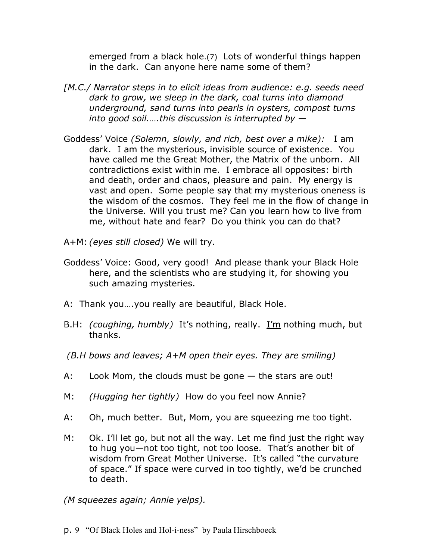emerged from a black hole.(7) Lots of wonderful things happen in the dark. Can anyone here name some of them?

- *[M.C./ Narrator steps in to elicit ideas from audience: e.g. seeds need dark to grow, we sleep in the dark, coal turns into diamond underground, sand turns into pearls in oysters, compost turns into good soil.….this discussion is interrupted by —*
- Goddess' Voice *(Solemn, slowly, and rich, best over a mike):* I am dark. I am the mysterious, invisible source of existence. You have called me the Great Mother, the Matrix of the unborn. All contradictions exist within me. I embrace all opposites: birth and death, order and chaos, pleasure and pain. My energy is vast and open. Some people say that my mysterious oneness is the wisdom of the cosmos. They feel me in the flow of change in the Universe. Will you trust me? Can you learn how to live from me, without hate and fear? Do you think you can do that?
- A+M: *(eyes still closed)* We will try.
- Goddess' Voice: Good, very good! And please thank your Black Hole here, and the scientists who are studying it, for showing you such amazing mysteries.
- A: Thank you….you really are beautiful, Black Hole.
- B.H: *(coughing, humbly)* It's nothing, really. I'm nothing much, but thanks.
- *(B.H bows and leaves; A+M open their eyes. They are smiling)*
- A: Look Mom, the clouds must be gone the stars are out!
- M: *(Hugging her tightly)* How do you feel now Annie?
- A: Oh, much better. But, Mom, you are squeezing me too tight.
- M: Ok. I'll let go, but not all the way. Let me find just the right way to hug you—not too tight, not too loose. That's another bit of wisdom from Great Mother Universe. It's called "the curvature of space." If space were curved in too tightly, we'd be crunched to death.

*(M squeezes again; Annie yelps).*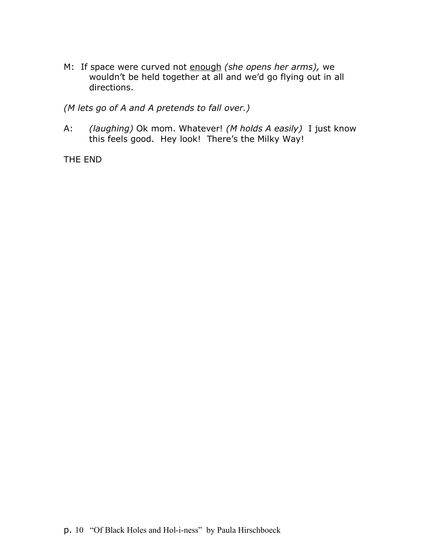M: If space were curved not enough *(she opens her arms),* we wouldn't be held together at all and we'd go flying out in all directions.

*(M lets go of A and A pretends to fall over.)*

A: *(laughing)* Ok mom. Whatever! *(M holds A easily)* I just know this feels good. Hey look! There's the Milky Way!

THE END